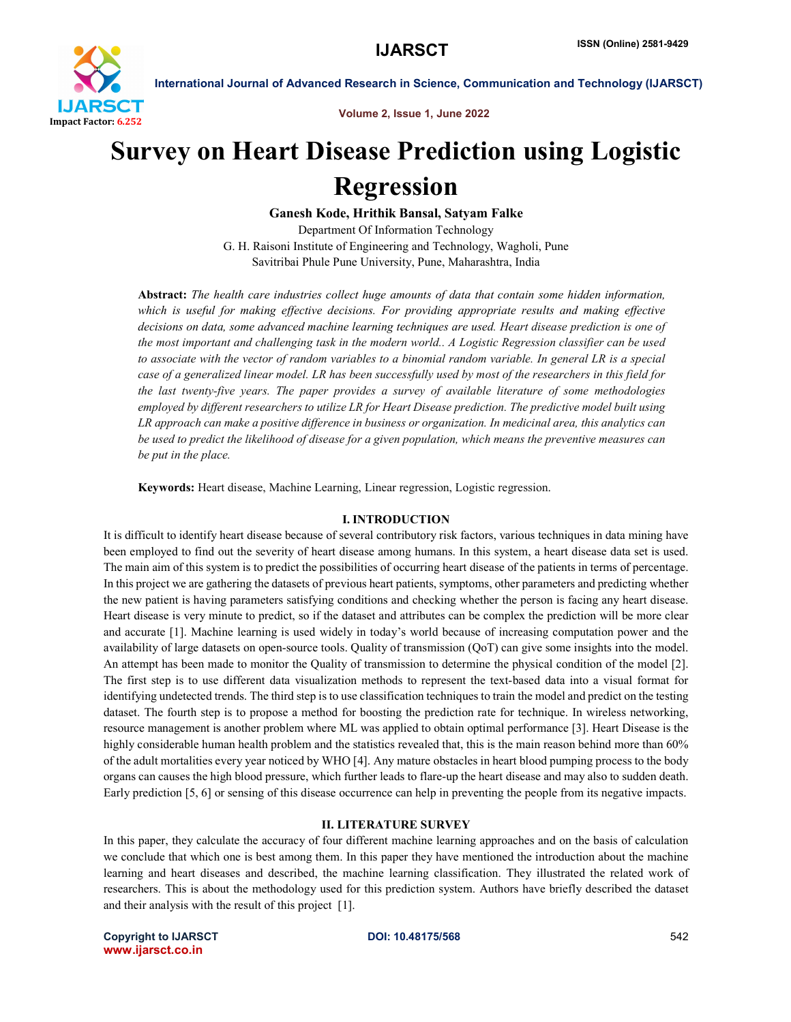

International Journal of Advanced Research in Science, Communication and Technology (IJARSCT)

Volume 2, Issue 1, June 2022

# Survey on Heart Disease Prediction using Logistic Regression

Ganesh Kode, Hrithik Bansal, Satyam Falke

Department Of Information Technology G. H. Raisoni Institute of Engineering and Technology, Wagholi, Pune Savitribai Phule Pune University, Pune, Maharashtra, India

Abstract: *The health care industries collect huge amounts of data that contain some hidden information, which is useful for making effective decisions. For providing appropriate results and making effective decisions on data, some advanced machine learning techniques are used. Heart disease prediction is one of the most important and challenging task in the modern world.. A Logistic Regression classifier can be used to associate with the vector of random variables to a binomial random variable. In general LR is a special case of a generalized linear model. LR has been successfully used by most of the researchers in this field for the last twenty-five years. The paper provides a survey of available literature of some methodologies employed by different researchers to utilize LR for Heart Disease prediction. The predictive model built using LR approach can make a positive difference in business or organization. In medicinal area, this analytics can be used to predict the likelihood of disease for a given population, which means the preventive measures can be put in the place.*

Keywords: Heart disease, Machine Learning, Linear regression, Logistic regression.

#### I. INTRODUCTION

It is difficult to identify heart disease because of several contributory risk factors, various techniques in data mining have been employed to find out the severity of heart disease among humans. In this system, a heart disease data set is used. The main aim of this system is to predict the possibilities of occurring heart disease of the patients in terms of percentage. In this project we are gathering the datasets of previous heart patients, symptoms, other parameters and predicting whether the new patient is having parameters satisfying conditions and checking whether the person is facing any heart disease. Heart disease is very minute to predict, so if the dataset and attributes can be complex the prediction will be more clear and accurate [1]. Machine learning is used widely in today's world because of increasing computation power and the availability of large datasets on open-source tools. Quality of transmission (QoT) can give some insights into the model. An attempt has been made to monitor the Quality of transmission to determine the physical condition of the model [2]. The first step is to use different data visualization methods to represent the text-based data into a visual format for identifying undetected trends. The third step is to use classification techniques to train the model and predict on the testing dataset. The fourth step is to propose a method for boosting the prediction rate for technique. In wireless networking, resource management is another problem where ML was applied to obtain optimal performance [3]. Heart Disease is the highly considerable human health problem and the statistics revealed that, this is the main reason behind more than 60% of the adult mortalities every year noticed by WHO [4]. Any mature obstacles in heart blood pumping process to the body organs can causes the high blood pressure, which further leads to flare-up the heart disease and may also to sudden death. Early prediction [5, 6] or sensing of this disease occurrence can help in preventing the people from its negative impacts.

#### II. LITERATURE SURVEY

In this paper, they calculate the accuracy of four different machine learning approaches and on the basis of calculation we conclude that which one is best among them. In this paper they have mentioned the introduction about the machine learning and heart diseases and described, the machine learning classification. They illustrated the related work of researchers. This is about the methodology used for this prediction system. Authors have briefly described the dataset and their analysis with the result of this project [1].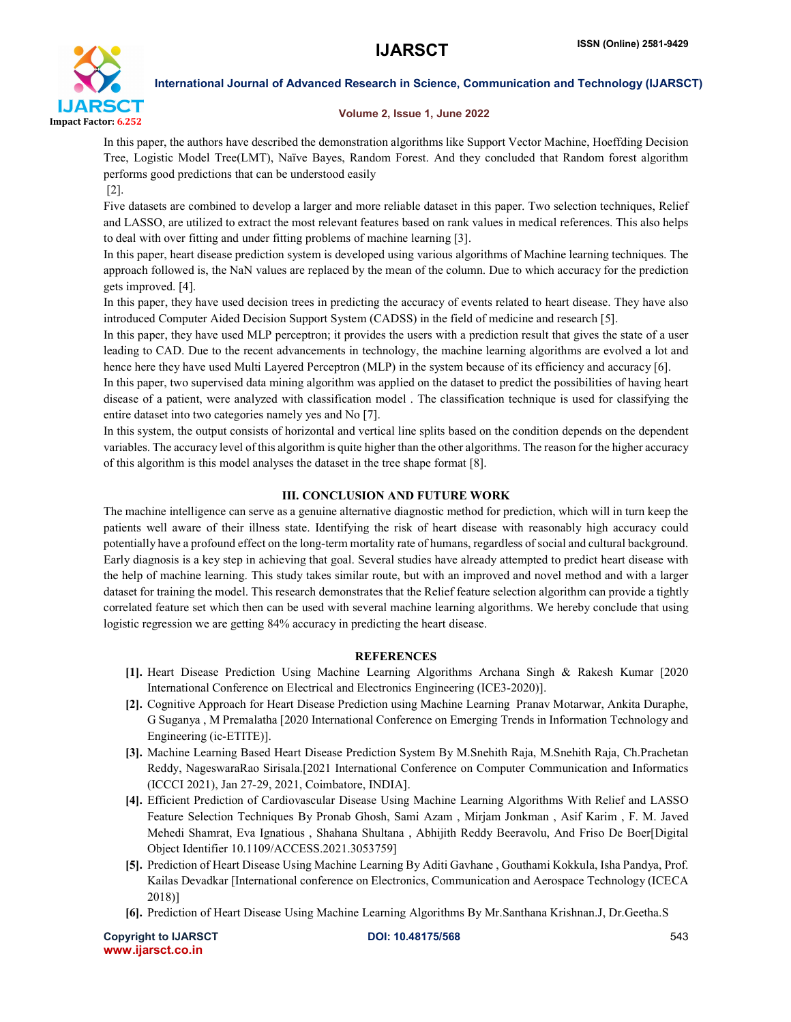

International Journal of Advanced Research in Science, Communication and Technology (IJARSCT)

#### Volume 2, Issue 1, June 2022

In this paper, the authors have described the demonstration algorithms like Support Vector Machine, Hoeffding Decision Tree, Logistic Model Tree(LMT), Naïve Bayes, Random Forest. And they concluded that Random forest algorithm performs good predictions that can be understood easily

[2].

Five datasets are combined to develop a larger and more reliable dataset in this paper. Two selection techniques, Relief and LASSO, are utilized to extract the most relevant features based on rank values in medical references. This also helps to deal with over fitting and under fitting problems of machine learning [3].

In this paper, heart disease prediction system is developed using various algorithms of Machine learning techniques. The approach followed is, the NaN values are replaced by the mean of the column. Due to which accuracy for the prediction gets improved. [4].

In this paper, they have used decision trees in predicting the accuracy of events related to heart disease. They have also introduced Computer Aided Decision Support System (CADSS) in the field of medicine and research [5].

In this paper, they have used MLP perceptron; it provides the users with a prediction result that gives the state of a user leading to CAD. Due to the recent advancements in technology, the machine learning algorithms are evolved a lot and hence here they have used Multi Layered Perceptron (MLP) in the system because of its efficiency and accuracy [6].

In this paper, two supervised data mining algorithm was applied on the dataset to predict the possibilities of having heart disease of a patient, were analyzed with classification model . The classification technique is used for classifying the entire dataset into two categories namely yes and No [7].

In this system, the output consists of horizontal and vertical line splits based on the condition depends on the dependent variables. The accuracy level of this algorithm is quite higher than the other algorithms. The reason for the higher accuracy of this algorithm is this model analyses the dataset in the tree shape format [8].

### III. CONCLUSION AND FUTURE WORK

The machine intelligence can serve as a genuine alternative diagnostic method for prediction, which will in turn keep the patients well aware of their illness state. Identifying the risk of heart disease with reasonably high accuracy could potentially have a profound effect on the long-term mortality rate of humans, regardless of social and cultural background. Early diagnosis is a key step in achieving that goal. Several studies have already attempted to predict heart disease with the help of machine learning. This study takes similar route, but with an improved and novel method and with a larger dataset for training the model. This research demonstrates that the Relief feature selection algorithm can provide a tightly correlated feature set which then can be used with several machine learning algorithms. We hereby conclude that using logistic regression we are getting 84% accuracy in predicting the heart disease.

## **REFERENCES**

- [1]. Heart Disease Prediction Using Machine Learning Algorithms Archana Singh & Rakesh Kumar [2020 International Conference on Electrical and Electronics Engineering (ICE3-2020)].
- [2]. Cognitive Approach for Heart Disease Prediction using Machine Learning Pranav Motarwar, Ankita Duraphe, G Suganya , M Premalatha [2020 International Conference on Emerging Trends in Information Technology and Engineering (ic-ETITE)].
- [3]. Machine Learning Based Heart Disease Prediction System By M.Snehith Raja, M.Snehith Raja, Ch.Prachetan Reddy, NageswaraRao Sirisala.[2021 International Conference on Computer Communication and Informatics (ICCCI 2021), Jan 27-29, 2021, Coimbatore, INDIA].
- [4]. Efficient Prediction of Cardiovascular Disease Using Machine Learning Algorithms With Relief and LASSO Feature Selection Techniques By Pronab Ghosh, Sami Azam , Mirjam Jonkman , Asif Karim , F. M. Javed Mehedi Shamrat, Eva Ignatious , Shahana Shultana , Abhijith Reddy Beeravolu, And Friso De Boer[Digital Object Identifier 10.1109/ACCESS.2021.3053759]
- [5]. Prediction of Heart Disease Using Machine Learning By Aditi Gavhane , Gouthami Kokkula, Isha Pandya, Prof. Kailas Devadkar [International conference on Electronics, Communication and Aerospace Technology (ICECA 2018)]
- [6]. Prediction of Heart Disease Using Machine Learning Algorithms By Mr.Santhana Krishnan.J, Dr.Geetha.S

Copyright to IJARSCT **DOI: 10.48175/568** 543 www.ijarsct.co.in